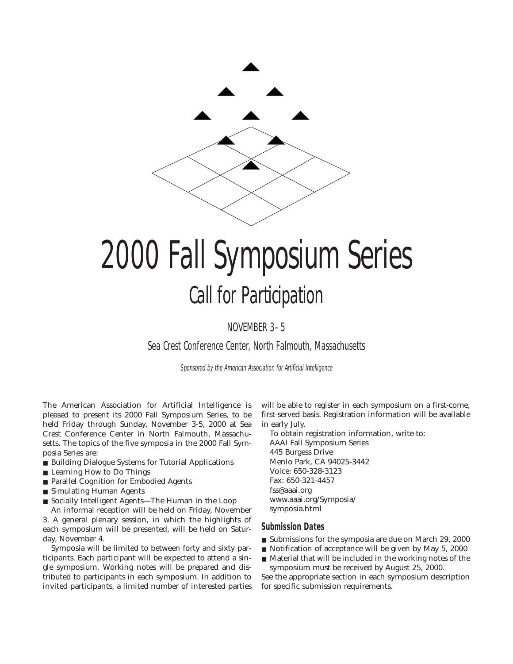

# 2000 Fall Symposium Series Call for Participation

NOVEMBER 3–5

Sea Crest Conference Center, North Falmouth, Massachusetts

Sponsored by the American Association for Artificial Intelligence

The American Association for Artificial Intelligence is pleased to present its 2000 Fall Symposium Series, to be held Friday through Sunday, November 3-5, 2000 at Sea Crest Conference Center in North Falmouth, Massachusetts. The topics of the five symposia in the 2000 Fall Symposia Series are:

- Building Dialogue Systems for Tutorial Applications
- Learning How to Do Things
- Parallel Cognition for Embodied Agents
- Simulating Human Agents
- Socially Intelligent Agents—The Human in the Loop

An informal reception will be held on Friday, November 3. A general plenary session, in which the highlights of each symposium will be presented, will be held on Saturday, November 4.

Symposia will be limited to between forty and sixty participants. Each participant will be expected to attend a single symposium. Working notes will be prepared and distributed to participants in each symposium. In addition to invited participants, a limited number of interested parties

will be able to register in each symposium on a first-come, first-served basis. Registration information will be available in early July.

To obtain registration information, write to: AAAI Fall Symposium Series 445 Burgess Drive Menlo Park, CA 94025-3442 Voice: 650-328-3123 Fax: 650-321-4457 fss@aaai.org www.aaai.org/Symposia/ symposia.html

#### **Submission Dates**

- Submissions for the symposia are due on March 29, 2000
- Notification of acceptance will be given by May 5, 2000
- Material that will be included in the working notes of the symposium must be received by August 25, 2000.

See the appropriate section in each symposium description for specific submission requirements.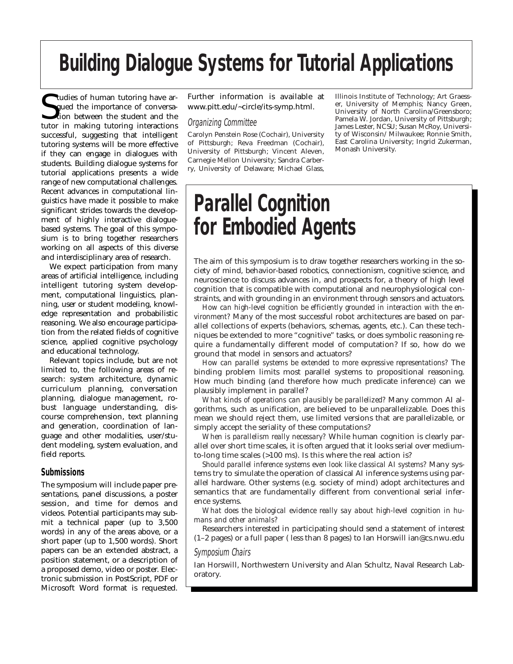### **Building Dialogue Systems for Tutorial Applications**

Suddies of human tutoring have argued the importance of conversation between the student and the tutor in making tutoring interactions **I** tudies of human tutoring have argued the importance of conversation between the student and the successful, suggesting that intelligent tutoring systems will be more effective if they can engage in dialogues with students. Building dialogue systems for tutorial applications presents a wide range of new computational challenges. Recent advances in computational linguistics have made it possible to make significant strides towards the development of highly interactive dialoguebased systems. The goal of this symposium is to bring together researchers working on all aspects of this diverse and interdisciplinary area of research.

We expect participation from many areas of artificial intelligence, including intelligent tutoring system development, computational linguistics, planning, user or student modeling, knowledge representation and probabilistic reasoning. We also encourage participation from the related fields of cognitive science, applied cognitive psychology and educational technology.

Relevant topics include, but are not limited to, the following areas of research: system architecture, dynamic curriculum planning, conversation planning, dialogue management, robust language understanding, discourse comprehension, text planning and generation, coordination of language and other modalities, user/student modeling, system evaluation, and field reports.

### **Submissions**

The symposium will include paper presentations, panel discussions, a poster session, and time for demos and videos. Potential participants may submit a technical paper (up to 3,500 words) in any of the areas above, or a short paper (up to 1,500 words). Short papers can be an extended abstract, a position statement, or a description of a proposed demo, video or poster. Electronic submission in PostScript, PDF or Microsoft Word format is requested.

Further information is available at www.pitt.edu/~circle/its-symp.html.

#### Organizing Committee

Carolyn Penstein Rose (Cochair), University of Pittsburgh; Reva Freedman (Cochair), University of Pittsburgh; Vincent Aleven, Carnegie Mellon University; Sandra Carberry, University of Delaware; Michael Glass, Illinois Institute of Technology; Art Graesser, University of Memphis; Nancy Green, University of North Carolina/Greensboro; Pamela W. Jordan, University of Pittsburgh; James Lester, NCSU; Susan McRoy, University of Wisconsin/ Milwaukee; Ronnie Smith, East Carolina University; Ingrid Zukerman, Monash University.

### **Parallel Cognition for Embodied Agents**

The aim of this symposium is to draw together researchers working in the society of mind, behavior-based robotics, connectionism, cognitive science, and neuroscience to discuss advances in, and prospects for, a theory of high level cognition that is compatible with computational and neurophysiological constraints, and with grounding in an environment through sensors and actuators.

*How can high-level cognition be efficiently grounded in interaction with the environment?* Many of the most successful robot architectures are based on parallel collections of experts (behaviors, schemas, agents, etc.). Can these techniques be extended to more "cognitive" tasks, or does symbolic reasoning require a fundamentally different model of computation? If so, how do we ground that model in sensors and actuators?

*How can parallel systems be extended to more expressive representations?* The binding problem limits most parallel systems to propositional reasoning. How much binding (and therefore how much predicate inference) can we plausibly implement in parallel?

*What kinds of operations can plausibly be parallelized?* Many common AI algorithms, such as unification, are believed to be unparallelizable. Does this mean we should reject them, use limited versions that are parallelizable, or simply accept the seriality of these computations?

*When is parallelism really necessary?* While human cognition is clearly parallel over short time scales, it is often argued that it looks serial over mediumto-long time scales (>100 ms). Is this where the real action is?

*Should parallel inference systems even look like classical AI systems?* Many systems try to simulate the operation of classical AI inference systems using parallel hardware. Other systems (e.g. society of mind) adopt architectures and semantics that are fundamentally different from conventional serial inference systems.

*What does the biological evidence really say about high-level cognition in humans and other animals?*

Researchers interested in participating should send a statement of interest (1–2 pages) or a full paper ( less than 8 pages) to Ian Horswill ian@cs.nwu.edu

#### Symposium Chairs

Ian Horswill, Northwestern University and Alan Schultz, Naval Research Laboratory.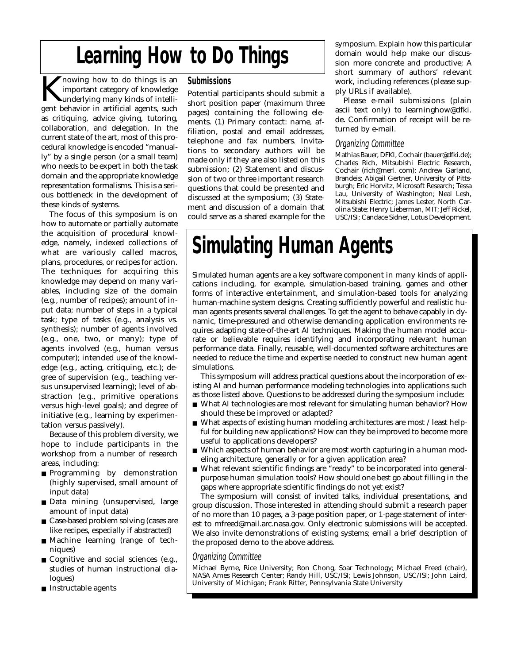### **Learning How to Do Things**

 $\blacktriangleright$  nowing how to do things is an important category of knowledge underlying many kinds of intelligent behavior in artificial agents, such as critiquing, advice giving, tutoring, collaboration, and delegation. In the current state of the art, most of this procedural knowledge is encoded "manually" by a single person (or a small team) who needs to be expert in both the task domain and the appropriate knowledge representation formalisms. This is a serious bottleneck in the development of these kinds of systems.

The focus of this symposium is on how to automate or partially automate the acquisition of procedural knowledge, namely, indexed collections of what are variously called macros, plans, procedures, or recipes for action. The techniques for acquiring this knowledge may depend on many variables, including size of the domain (e.g., number of recipes); amount of input data; number of steps in a typical task; type of tasks (e.g., analysis vs. synthesis); number of agents involved (e.g., one, two, or many); type of agents involved (e.g., human versus computer); intended use of the knowledge (e.g., acting, critiquing, etc.); degree of supervision (e.g., teaching versus unsupervised learning); level of abstraction (e.g., primitive operations versus high-level goals); and degree of initiative (e.g., learning by experimentation versus passively).

Because of this problem diversity, we hope to include participants in the workshop from a number of research areas, including:

- Programming by demonstration (highly supervised, small amount of input data)
- Data mining (unsupervised, large amount of input data)
- Case-based problem solving (cases are like recipes, especially if abstracted)
- Machine learning (range of techniques)
- Cognitive and social sciences (e.g., studies of human instructional dialogues)
- Instructable agents

### **Submissions**

Potential participants should submit a short position paper (maximum three pages) containing the following elements. (1) Primary contact: name, affiliation, postal and email addresses, telephone and fax numbers. Invitations to secondary authors will be made only if they are also listed on this submission; (2) Statement and discussion of two or three important research questions that could be presented and discussed at the symposium; (3) Statement and discussion of a domain that could serve as a shared example for the

symposium. Explain how this particular domain would help make our discussion more concrete and productive; A short summary of authors' relevant work, including references (please supply URLs if available).

Please e-mail submissions (plain ascii text only) to learninghow@dfki. de. Confirmation of receipt will be returned by e-mail.

### Organizing Committee

Mathias Bauer, DFKI, Cochair (bauer@dfki.de); Charles Rich, Mitsubishi Electric Research, Cochair (rich@merl. com); Andrew Garland, Brandeis; Abigail Gertner, University of Pittsburgh; Eric Horvitz, Microsoft Research; Tessa Lau, University of Washington; Neal Lesh, Mitsubishi Electric; James Lester, North Carolina State; Henry Lieberman, MIT; Jeff Rickel, USC/ISI; Candace Sidner, Lotus Development.

### **Simulating Human Agents**

Simulated human agents are a key software component in many kinds of applications including, for example, simulation-based training, games and other forms of interactive entertainment, and simulation-based tools for analyzing human-machine system designs. Creating sufficiently powerful and realistic human agents presents several challenges. To get the agent to behave capably in dynamic, time-pressured and otherwise demanding application environments requires adapting state-of-the-art AI techniques. Making the human model accurate or believable requires identifying and incorporating relevant human performance data. Finally, reusable, well-documented software architectures are needed to reduce the time and expertise needed to construct new human agent simulations.

This symposium will address practical questions about the incorporation of existing AI and human performance modeling technologies into applications such as those listed above. Questions to be addressed during the symposium include:

- What AI technologies are most relevant for simulating human behavior? How should these be improved or adapted?
- What aspects of existing human modeling architectures are most / least helpful for building new applications? How can they be improved to become more useful to applications developers?
- Which aspects of human behavior are most worth capturing in a human modeling architecture, generally or for a given application area?
- What relevant scientific findings are "ready" to be incorporated into generalpurpose human simulation tools? How should one best go about filling in the gaps where appropriate scientific findings do not yet exist?

The symposium will consist of invited talks, individual presentations, and group discussion. Those interested in attending should submit a research paper of no more than 10 pages, a 3-page position paper, or 1-page statement of interest to mfreed@mail.arc.nasa.gov. Only electronic submissions will be accepted. We also invite demonstrations of existing systems; email a brief description of the proposed demo to the above address.

### Organizing Committee

Michael Byrne, Rice University; Ron Chong, Soar Technology; Michael Freed (chair), NASA Ames Research Center; Randy Hill, USC/ISI; Lewis Johnson, USC/ISI; John Laird, University of Michigan; Frank Ritter, Pennsylvania State University